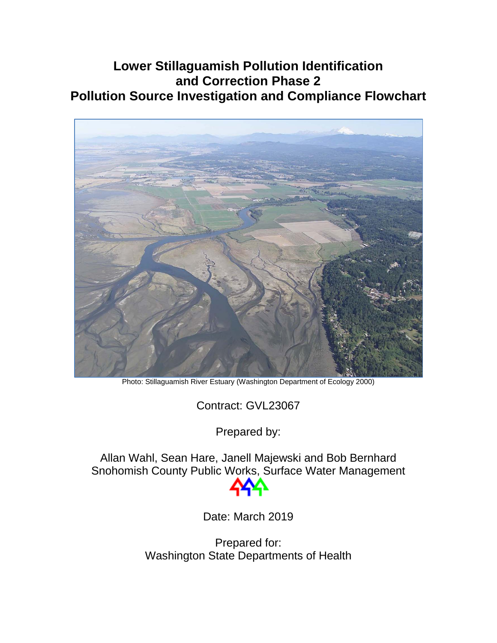## **Lower Stillaguamish Pollution Identification and Correction Phase 2 Pollution Source Investigation and Compliance Flowchart**



Photo: Stillaguamish River Estuary (Washington Department of Ecology 2000)

Contract: GVL23067

Prepared by:

Allan Wahl, Sean Hare, Janell Majewski and Bob Bernhard Snohomish County Public Works, Surface Water Management

Date: March 2019

Prepared for: Washington State Departments of Health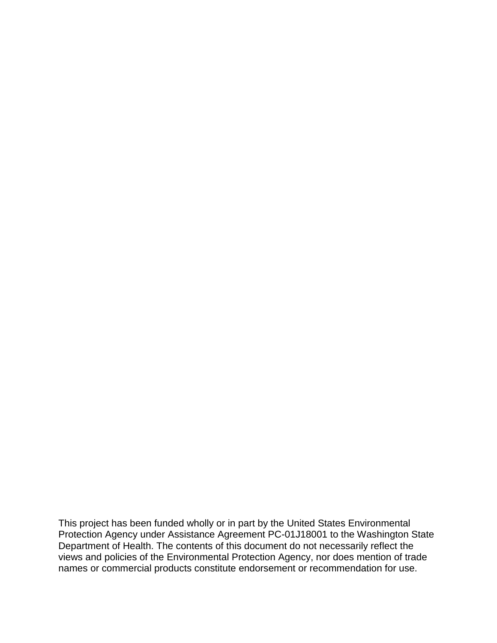This project has been funded wholly or in part by the United States Environmental Protection Agency under Assistance Agreement PC-01J18001 to the Washington State Department of Health. The contents of this document do not necessarily reflect the views and policies of the Environmental Protection Agency, nor does mention of trade names or commercial products constitute endorsement or recommendation for use.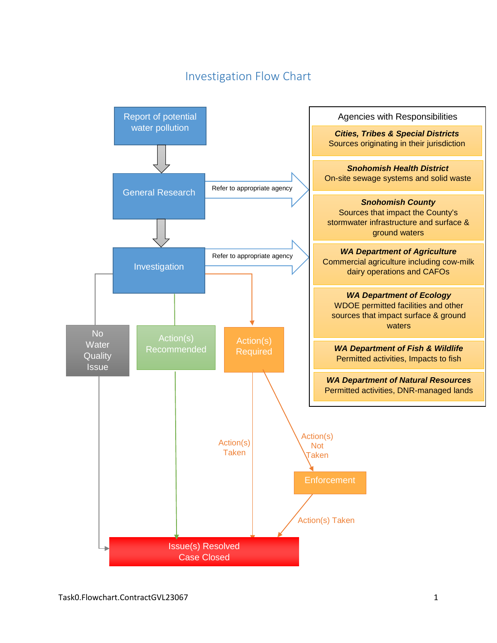## Investigation Flow Chart

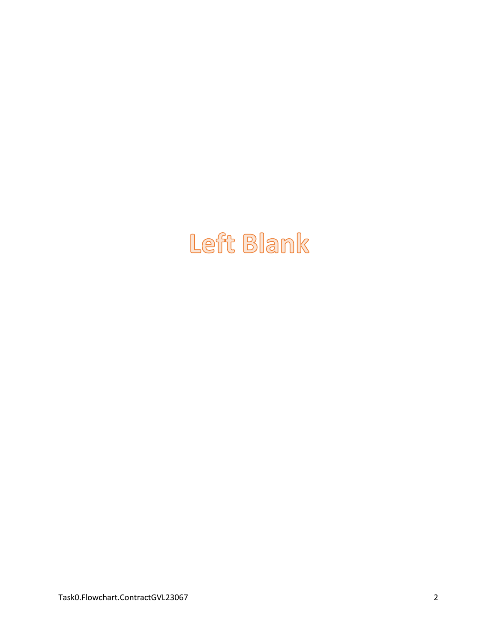# Left Blank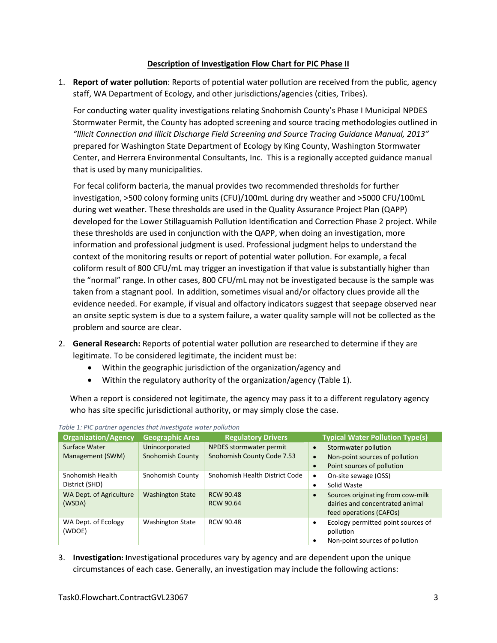### **Description of Investigation Flow Chart for PIC Phase II**

1. **Report of water pollution**: Reports of potential water pollution are received from the public, agency staff, WA Department of Ecology, and other jurisdictions/agencies (cities, Tribes).

For conducting water quality investigations relating Snohomish County's Phase I Municipal NPDES Stormwater Permit, the County has adopted screening and source tracing methodologies outlined in *"Illicit Connection and Illicit Discharge Field Screening and Source Tracing Guidance Manual, 2013"* prepared for Washington State Department of Ecology by King County, Washington Stormwater Center, and Herrera Environmental Consultants, Inc. This is a regionally accepted guidance manual that is used by many municipalities.

For fecal coliform bacteria, the manual provides two recommended thresholds for further investigation, >500 colony forming units (CFU)/100mL during dry weather and >5000 CFU/100mL during wet weather. These thresholds are used in the Quality Assurance Project Plan (QAPP) developed for the Lower Stillaguamish Pollution Identification and Correction Phase 2 project. While these thresholds are used in conjunction with the QAPP, when doing an investigation, more information and professional judgment is used. Professional judgment helps to understand the context of the monitoring results or report of potential water pollution. For example, a fecal coliform result of 800 CFU/mL may trigger an investigation if that value is substantially higher than the "normal" range. In other cases, 800 CFU/mL may not be investigated because is the sample was taken from a stagnant pool. In addition, sometimes visual and/or olfactory clues provide all the evidence needed. For example, if visual and olfactory indicators suggest that seepage observed near an onsite septic system is due to a system failure, a water quality sample will not be collected as the problem and source are clear.

- 2. **General Research:** Reports of potential water pollution are researched to determine if they are legitimate. To be considered legitimate, the incident must be:
	- Within the geographic jurisdiction of the organization/agency and
	- Within the regulatory authority of the organization/agency [\(Table 1\)](#page-4-0).

When a report is considered not legitimate, the agency may pass it to a different regulatory agency who has site specific jurisdictional authority, or may simply close the case.

| <b>Organization/Agency</b>    | <b>Geographic Area</b>  | <b>Regulatory Drivers</b>      | <b>Typical Water Pollution Type(s)</b>                                                              |
|-------------------------------|-------------------------|--------------------------------|-----------------------------------------------------------------------------------------------------|
| Surface Water                 | Unincorporated          | NPDES stormwater permit        | Stormwater pollution<br>$\bullet$                                                                   |
| Management (SWM)              | <b>Snohomish County</b> | Snohomish County Code 7.53     | Non-point sources of pollution<br>$\bullet$                                                         |
|                               |                         |                                | Point sources of pollution<br>$\bullet$                                                             |
| Snohomish Health              | Snohomish County        | Snohomish Health District Code | On-site sewage (OSS)<br>$\bullet$                                                                   |
| District (SHD)                |                         |                                | Solid Waste<br>٠                                                                                    |
| WA Dept. of Agriculture       | <b>Washington State</b> | <b>RCW 90.48</b>               | Sources originating from cow-milk<br>$\bullet$                                                      |
| (WSDA)                        |                         | <b>RCW 90.64</b>               | dairies and concentrated animal                                                                     |
|                               |                         |                                | feed operations (CAFOs)                                                                             |
| WA Dept. of Ecology<br>(WDOE) | <b>Washington State</b> | <b>RCW 90.48</b>               | Ecology permitted point sources of<br>$\bullet$<br>pollution<br>Non-point sources of pollution<br>٠ |

#### <span id="page-4-0"></span>*Table 1: PIC partner agencies that investigate water pollution*

3. **Investigation: I**nvestigational procedures vary by agency and are dependent upon the unique circumstances of each case. Generally, an investigation may include the following actions: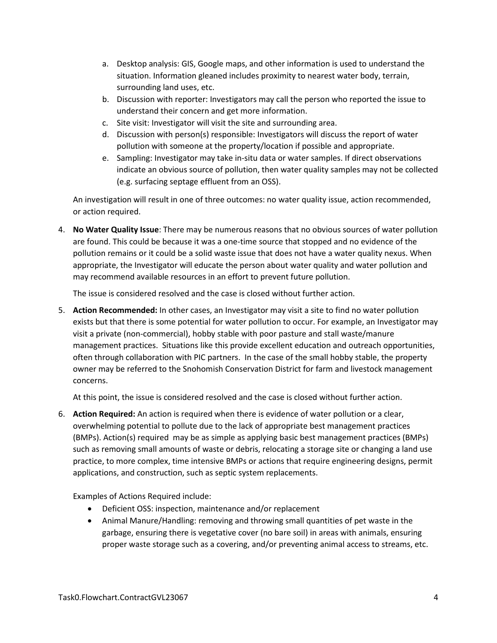- a. Desktop analysis: GIS, Google maps, and other information is used to understand the situation. Information gleaned includes proximity to nearest water body, terrain, surrounding land uses, etc.
- b. Discussion with reporter: Investigators may call the person who reported the issue to understand their concern and get more information.
- c. Site visit: Investigator will visit the site and surrounding area.
- d. Discussion with person(s) responsible: Investigators will discuss the report of water pollution with someone at the property/location if possible and appropriate.
- e. Sampling: Investigator may take in-situ data or water samples. If direct observations indicate an obvious source of pollution, then water quality samples may not be collected (e.g. surfacing septage effluent from an OSS).

An investigation will result in one of three outcomes: no water quality issue, action recommended, or action required.

4. **No Water Quality Issue**: There may be numerous reasons that no obvious sources of water pollution are found. This could be because it was a one-time source that stopped and no evidence of the pollution remains or it could be a solid waste issue that does not have a water quality nexus. When appropriate, the Investigator will educate the person about water quality and water pollution and may recommend available resources in an effort to prevent future pollution.

The issue is considered resolved and the case is closed without further action.

5. **Action Recommended:** In other cases, an Investigator may visit a site to find no water pollution exists but that there is some potential for water pollution to occur. For example, an Investigator may visit a private (non-commercial), hobby stable with poor pasture and stall waste/manure management practices. Situations like this provide excellent education and outreach opportunities, often through collaboration with PIC partners. In the case of the small hobby stable, the property owner may be referred to the Snohomish Conservation District for farm and livestock management concerns.

At this point, the issue is considered resolved and the case is closed without further action.

6. **Action Required:** An action is required when there is evidence of water pollution or a clear, overwhelming potential to pollute due to the lack of appropriate best management practices (BMPs). Action(s) required may be as simple as applying basic best management practices (BMPs) such as removing small amounts of waste or debris, relocating a storage site or changing a land use practice, to more complex, time intensive BMPs or actions that require engineering designs, permit applications, and construction, such as septic system replacements.

Examples of Actions Required include:

- Deficient OSS: inspection, maintenance and/or replacement
- Animal Manure/Handling: removing and throwing small quantities of pet waste in the garbage, ensuring there is vegetative cover (no bare soil) in areas with animals, ensuring proper waste storage such as a covering, and/or preventing animal access to streams, etc.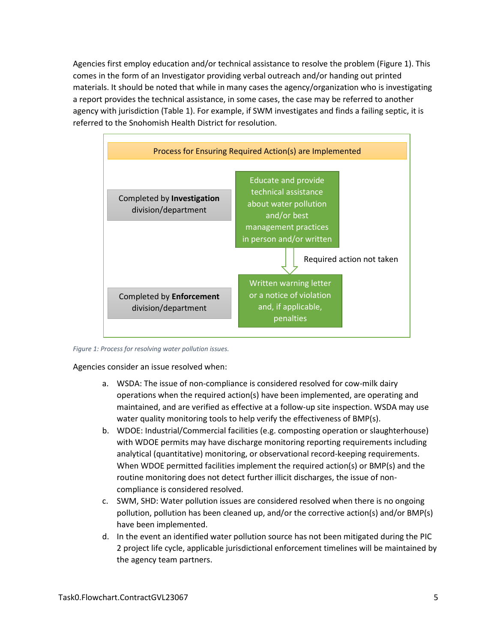Agencies first employ education and/or technical assistance to resolve the problem [\(Figure 1\)](#page-6-0). This comes in the form of an Investigator providing verbal outreach and/or handing out printed materials. It should be noted that while in many cases the agency/organization who is investigating a report provides the technical assistance, in some cases, the case may be referred to another agency with jurisdiction [\(Table 1\)](#page-4-0). For example, if SWM investigates and finds a failing septic, it is referred to the Snohomish Health District for resolution.



<span id="page-6-0"></span>*Figure 1: Process for resolving water pollution issues.*

Agencies consider an issue resolved when:

- a. WSDA: The issue of non-compliance is considered resolved for cow-milk dairy operations when the required action(s) have been implemented, are operating and maintained, and are verified as effective at a follow-up site inspection. WSDA may use water quality monitoring tools to help verify the effectiveness of BMP(s).
- b. WDOE: Industrial/Commercial facilities (e.g. composting operation or slaughterhouse) with WDOE permits may have discharge monitoring reporting requirements including analytical (quantitative) monitoring, or observational record-keeping requirements. When WDOE permitted facilities implement the required action(s) or BMP(s) and the routine monitoring does not detect further illicit discharges, the issue of noncompliance is considered resolved.
- c. SWM, SHD: Water pollution issues are considered resolved when there is no ongoing pollution, pollution has been cleaned up, and/or the corrective action(s) and/or BMP(s) have been implemented.
- d. In the event an identified water pollution source has not been mitigated during the PIC 2 project life cycle, applicable jurisdictional enforcement timelines will be maintained by the agency team partners.